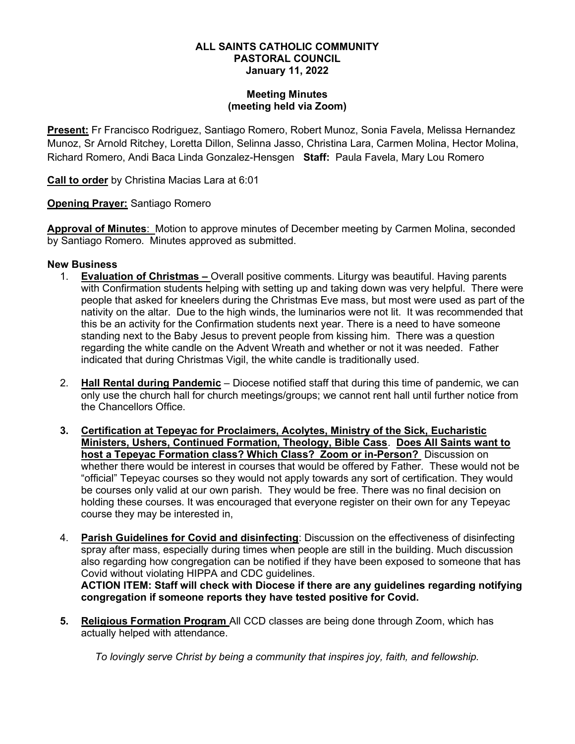#### ALL SAINTS CATHOLIC COMMUNITY PASTORAL COUNCIL January 11, 2022

#### Meeting Minutes (meeting held via Zoom)

Present: Fr Francisco Rodriguez, Santiago Romero, Robert Munoz, Sonia Favela, Melissa Hernandez Munoz, Sr Arnold Ritchey, Loretta Dillon, Selinna Jasso, Christina Lara, Carmen Molina, Hector Molina, Richard Romero, Andi Baca Linda Gonzalez-Hensgen Staff: Paula Favela, Mary Lou Romero

Call to order by Christina Macias Lara at 6:01

Opening Prayer: Santiago Romero

Approval of Minutes: Motion to approve minutes of December meeting by Carmen Molina, seconded by Santiago Romero. Minutes approved as submitted.

# New Business

- 1. **Evaluation of Christmas –** Overall positive comments. Liturgy was beautiful. Having parents with Confirmation students helping with setting up and taking down was very helpful. There were people that asked for kneelers during the Christmas Eve mass, but most were used as part of the nativity on the altar. Due to the high winds, the luminarios were not lit. It was recommended that this be an activity for the Confirmation students next year. There is a need to have someone standing next to the Baby Jesus to prevent people from kissing him. There was a question regarding the white candle on the Advent Wreath and whether or not it was needed. Father indicated that during Christmas Vigil, the white candle is traditionally used.
- 2. Hall Rental during Pandemic Diocese notified staff that during this time of pandemic, we can only use the church hall for church meetings/groups; we cannot rent hall until further notice from the Chancellors Office.
- 3. Certification at Tepeyac for Proclaimers, Acolytes, Ministry of the Sick, Eucharistic Ministers, Ushers, Continued Formation, Theology, Bible Cass. Does All Saints want to host a Tepeyac Formation class? Which Class? Zoom or in-Person? Discussion on whether there would be interest in courses that would be offered by Father. These would not be "official" Tepeyac courses so they would not apply towards any sort of certification. They would be courses only valid at our own parish. They would be free. There was no final decision on holding these courses. It was encouraged that everyone register on their own for any Tepeyac course they may be interested in,
- 4. Parish Guidelines for Covid and disinfecting: Discussion on the effectiveness of disinfecting spray after mass, especially during times when people are still in the building. Much discussion also regarding how congregation can be notified if they have been exposed to someone that has Covid without violating HIPPA and CDC guidelines.

ACTION ITEM: Staff will check with Diocese if there are any guidelines regarding notifying congregation if someone reports they have tested positive for Covid.

5. Religious Formation Program All CCD classes are being done through Zoom, which has actually helped with attendance.

To lovingly serve Christ by being a community that inspires joy, faith, and fellowship.